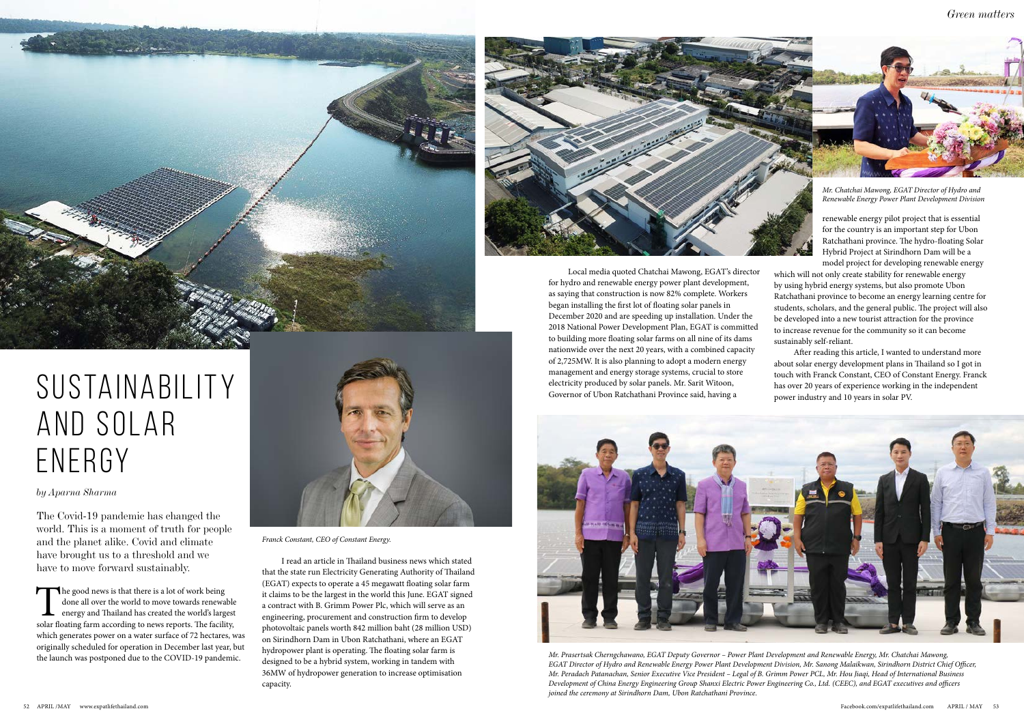*by Aparna Sharma*

The Covid-19 pandemic has changed the world. This is a moment of truth for people and the planet alike. Covid and climate have brought us to a threshold and we have to move forward sustainably.

The good news is that there is a lot of work being done all over the world to move towards renewable energy and Thailand has created the world's largest solar floating farm according to news reports. The facility, which generates power on a water surface of 72 hectares, was originally scheduled for operation in December last year, but the launch was postponed due to the COVID-19 pandemic.

I read an article in Thailand business news which stated that the state run Electricity Generating Authority of Thailand (EGAT) expects to operate a 45 megawatt floating solar farm it claims to be the largest in the world this June. EGAT signed a contract with B. Grimm Power Plc, which will serve as an engineering, procurement and construction firm to develop photovoltaic panels worth 842 million baht (28 million USD) on Sirindhorn Dam in Ubon Ratchathani, where an EGAT hydropower plant is operating. The floating solar farm is designed to be a hybrid system, working in tandem with 36MW of hydropower generation to increase optimisation capacity.





Local media quoted Chatchai Mawong, EGAT's director for hydro and renewable energy power plant development, as saying that construction is now 82% complete. Workers began installing the first lot of floating solar panels in December 2020 and are speeding up installation. Under the 2018 National Power Development Plan, EGAT is committed to building more floating solar farms on all nine of its dams nationwide over the next 20 years, with a combined capacity of 2,725MW. It is also planning to adopt a modern energy management and energy storage systems, crucial to store electricity produced by solar panels. Mr. Sarit Witoon, Governor of Ubon Ratchathani Province said, having a



renewable energy pilot project that is essential for the country is an important step for Ubon Ratchathani province. The hydro-floating Solar Hybrid Project at Sirindhorn Dam will be a model project for developing renewable energy

which will not only create stability for renewable energy by using hybrid energy systems, but also promote Ubon Ratchathani province to become an energy learning centre for students, scholars, and the general public. The project will also be developed into a new tourist attraction for the province to increase revenue for the community so it can become sustainably self-reliant.

After reading this article, I wanted to understand more about solar energy development plans in Thailand so I got in touch with Franck Constant, CEO of Constant Energy. Franck has over 20 years of experience working in the independent power industry and 10 years in solar PV.

*Mr. Prasertsak Cherngchawano, EGAT Deputy Governor – Power Plant Development and Renewable Energy, Mr. Chatchai Mawong, EGAT Director of Hydro and Renewable Energy Power Plant Development Division, Mr. Sanong Malaikwan, Sirindhorn District Chief Officer, Mr. Peradach Patanachan, Senior Executive Vice President – Legal of B. Grimm Power PCL, Mr. Hou Jiaqi, Head of International Business Development of China Energy Engineering Group Shanxi Electric Power Engineering Co., Ltd. (CEEC), and EGAT executives and officers joined the ceremony at Sirindhorn Dam, Ubon Ratchathani Province.*

## SUSTAINABILITY AND SOLAR ENERGY



*Mr. Chatchai Mawong, EGAT Director of Hydro and Renewable Energy Power Plant Development Division*



*Franck Constant, CEO of Constant Energy.*

*Green matters*